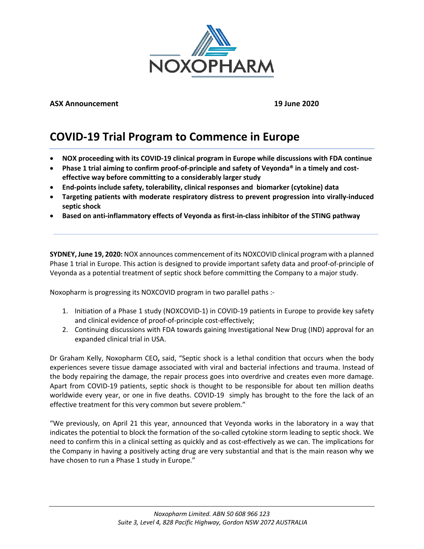

## **ASX Announcement 19 June 2020**

# **COVID-19 Trial Program to Commence in Europe**

- **NOX proceeding with its COVID-19 clinical program in Europe while discussions with FDA continue**
- **Phase 1 trial aiming to confirm proof-of-principle and safety of Veyonda® in a timely and costeffective way before committing to a considerably larger study**
- **End-points include safety, tolerability, clinical responses and biomarker (cytokine) data**
- **Targeting patients with moderate respiratory distress to prevent progression into virally-induced septic shock**
- **Based on anti-inflammatory effects of Veyonda as first-in-class inhibitor of the STING pathway**

**SYDNEY, June 19, 2020:** NOX announces commencement of its NOXCOVID clinical program with a planned Phase 1 trial in Europe. This action is designed to provide important safety data and proof-of-principle of Veyonda as a potential treatment of septic shock before committing the Company to a major study.

Noxopharm is progressing its NOXCOVID program in two parallel paths :-

- 1. Initiation of a Phase 1 study (NOXCOVID-1) in COVID-19 patients in Europe to provide key safety and clinical evidence of proof-of-principle cost-effectively;
- 2. Continuing discussions with FDA towards gaining Investigational New Drug (IND) approval for an expanded clinical trial in USA.

Dr Graham Kelly, Noxopharm CEO**,** said, "Septic shock is a lethal condition that occurs when the body experiences severe tissue damage associated with viral and bacterial infections and trauma. Instead of the body repairing the damage, the repair process goes into overdrive and creates even more damage. Apart from COVID-19 patients, septic shock is thought to be responsible for about ten million deaths worldwide every year, or one in five deaths. COVID-19 simply has brought to the fore the lack of an effective treatment for this very common but severe problem."

"We previously, on April 21 this year, announced that Veyonda works in the laboratory in a way that indicates the potential to block the formation of the so-called cytokine storm leading to septic shock. We need to confirm this in a clinical setting as quickly and as cost-effectively as we can. The implications for the Company in having a positively acting drug are very substantial and that is the main reason why we have chosen to run a Phase 1 study in Europe."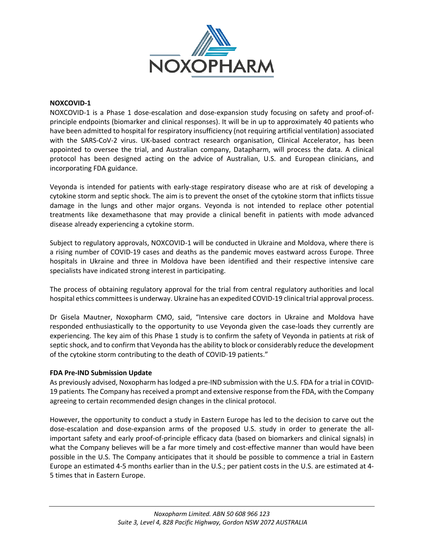

## **NOXCOVID-1**

NOXCOVID-1 is a Phase 1 dose-escalation and dose-expansion study focusing on safety and proof-ofprinciple endpoints (biomarker and clinical responses). It will be in up to approximately 40 patients who have been admitted to hospital for respiratory insufficiency (not requiring artificial ventilation) associated with the SARS-CoV-2 virus. UK-based contract research organisation, Clinical Accelerator, has been appointed to oversee the trial, and Australian company, Datapharm, will process the data. A clinical protocol has been designed acting on the advice of Australian, U.S. and European clinicians, and incorporating FDA guidance.

Veyonda is intended for patients with early-stage respiratory disease who are at risk of developing a cytokine storm and septic shock. The aim is to prevent the onset of the cytokine storm that inflicts tissue damage in the lungs and other major organs. Veyonda is not intended to replace other potential treatments like dexamethasone that may provide a clinical benefit in patients with mode advanced disease already experiencing a cytokine storm.

Subject to regulatory approvals, NOXCOVID-1 will be conducted in Ukraine and Moldova, where there is a rising number of COVID-19 cases and deaths as the pandemic moves eastward across Europe. Three hospitals in Ukraine and three in Moldova have been identified and their respective intensive care specialists have indicated strong interest in participating.

The process of obtaining regulatory approval for the trial from central regulatory authorities and local hospital ethics committees is underway. Ukraine has an expedited COVID-19 clinical trial approval process.

Dr Gisela Mautner, Noxopharm CMO, said, "Intensive care doctors in Ukraine and Moldova have responded enthusiastically to the opportunity to use Veyonda given the case-loads they currently are experiencing. The key aim of this Phase 1 study is to confirm the safety of Veyonda in patients at risk of septic shock, and to confirm that Veyonda has the ability to block or considerably reduce the development of the cytokine storm contributing to the death of COVID-19 patients."

## **FDA Pre-IND Submission Update**

As previously advised, Noxopharm has lodged a pre-IND submission with the U.S. FDA for a trial in COVID-19 patients. The Company has received a prompt and extensive response from the FDA, with the Company agreeing to certain recommended design changes in the clinical protocol.

However, the opportunity to conduct a study in Eastern Europe has led to the decision to carve out the dose-escalation and dose-expansion arms of the proposed U.S. study in order to generate the allimportant safety and early proof-of-principle efficacy data (based on biomarkers and clinical signals) in what the Company believes will be a far more timely and cost-effective manner than would have been possible in the U.S. The Company anticipates that it should be possible to commence a trial in Eastern Europe an estimated 4-5 months earlier than in the U.S.; per patient costs in the U.S. are estimated at 4- 5 times that in Eastern Europe.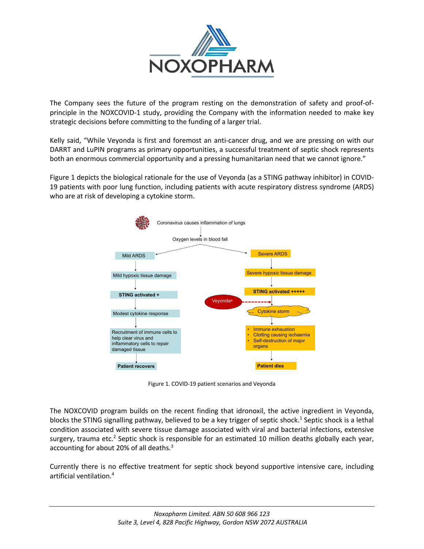

The Company sees the future of the program resting on the demonstration of safety and proof-ofprinciple in the NOXCOVID-1 study, providing the Company with the information needed to make key strategic decisions before committing to the funding of a larger trial.

Kelly said, "While Veyonda is first and foremost an anti-cancer drug, and we are pressing on with our DARRT and LuPIN programs as primary opportunities, a successful treatment of septic shock represents both an enormous commercial opportunity and a pressing humanitarian need that we cannot ignore."

Figure 1 depicts the biological rationale for the use of Veyonda (as a STING pathway inhibitor) in COVID-19 patients with poor lung function, including patients with acute respiratory distress syndrome (ARDS) who are at risk of developing a cytokine storm.



Figure 1. COVID-19 patient scenarios and Veyonda

The NOXCOVID program builds on the recent finding that idronoxil, the active ingredient in Veyonda, blocks the STING signalling pathway, believed to be a key trigger of septic shock.<sup>1</sup> Septic shock is a lethal condition associated with severe tissue damage associated with viral and bacterial infections, extensive surgery, trauma etc.<sup>2</sup> Septic shock is responsible for an estimated 10 million deaths globally each year, accounting for about 20% of all deaths.<sup>3</sup>

Currently there is no effective treatment for septic shock beyond supportive intensive care, including artificial ventilation.4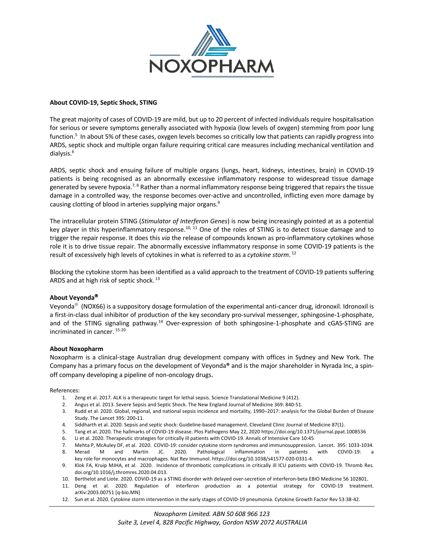

### **About COVID-19, Septic Shock, STING**

The great majority of cases of COVID-19 are mild, but up to 20 percent of infected individuals require hospitalisation for serious or severe symptoms generally associated with hypoxia (low levels of oxygen) stemming from poor lung function.<sup>5</sup> In about 5% of these cases, oxygen levels becomes so critically low that patients can rapidly progress into ARDS, septic shock and multiple organ failure requiring critical care measures including mechanical ventilation and dialysis.6

ARDS, septic shock and ensuing failure of multiple organs (lungs, heart, kidneys, intestines, brain) in COVID-19 patients is being recognised as an abnormally excessive inflammatory response to widespread tissue damage generated by severe hypoxia.<sup>7, 8</sup> Rather than a normal inflammatory response being triggered that repairs the tissue damage in a controlled way, the response becomes over-active and uncontrolled, inflicting even more damage by causing clotting of blood in arteries supplying major organs.9

The intracellular protein STING (*Stimulator of Interferon Genes*) is now being increasingly pointed at as a potential key player in this hyperinflammatory response.<sup>10, 11</sup> One of the roles of STING is to detect tissue damage and to trigger the repair response. It does this *via* the release of compounds known as pro-inflammatory cytokines whose role it is to drive tissue repair. The abnormally excessive inflammatory response in some COVID-19 patients is the result of excessively high levels of cytokines in what is referred to as a *cytokine storm*. <sup>12</sup>

Blocking the cytokine storm has been identified as a valid approach to the treatment of COVID-19 patients suffering ARDS and at high risk of septic shock.<sup>13</sup>

## **About Veyonda**<sup>â</sup>

Veyonda<sup>®</sup> (NOX66) is a suppository dosage formulation of the experimental anti-cancer drug, idronoxil. Idronoxil is a first-in-class dual inhibitor of production of the key secondary pro-survival messenger, sphingosine-1-phosphate, and of the STING signaling pathway.14 Over-expression of both sphingosine-1-phosphate and cGAS-STING are incriminated in cancer. 15-20

#### **About Noxopharm**

Noxopharm is a clinical-stage Australian drug development company with offices in Sydney and New York. The Company has a primary focus on the development of Veyonda**®** and is the major shareholder in Nyrada Inc, a spinoff company developing a pipeline of non-oncology drugs.

#### References:

- 1. Zeng et al. 2017. ALK is a therapeutic target for lethal sepsis. Science Translational Medicine 9 (412).
- 2. Angus et al. 2013. Severe Sepsis and Septic Shock. The New England Journal of Medicine 369: 840-51.
- 3. Rudd et al. 2020. Global, regional, and national sepsis incidence and mortality, 1990–2017: analysis for the Global Burden of Disease Study. The Lancet 395: 200-11.
- 4. Siddharth et al. 2020. Sepsis and septic shock: Guideline-based management. Cleveland Clinic Journal of Medicine 87(1).
- 5. Tang et al. 2020. The hallmarks of COVID-19 disease. Plos Pathogens May 22, 2020 https://doi.org/10.1371/journal.ppat.1008536
- 6. Li et al. 2020. Therapeutic strategies for critically ill patients with COVID-19. Annals of Intensive Care 10:45
- 7. Mehta P, McAuley DF, et al. 2020. COVID-19: consider cytokine storm syndromes and immunosuppression. Lancet. 395: 1033-1034.
- M and Martin JC. 2020. Pathological inflammation in patients with COVID-19: key role for monocytes and macrophages. Nat Rev Immunol. https://doi.org/10.1038/s41577-020-0331-4.
- 9. Klok FA, Kruip MJHA, et al. 2020. Incidence of thrombotic complications in critically ill ICU patients with COVID-19. Thromb Res. doi.org/10.1016/j.thromres.2020.04.013.
- 10. Berthelot and Liote. 2020. COVID-19 as a STING disorder with delayed over-secretion of interferon-beta EBIO Medicine 56 102801.
- 11. Deng et al. 2020. Regulation of interferon production as a potential strategy for COVID-19 treatment. arXiv:2003.00751 [q-bio.MN]
- 12. Sun et al. 2020. Cytokine storm intervention in the early stages of COVID-19 pneumonia. Cytokine Growth Factor Rev 53:38-42.